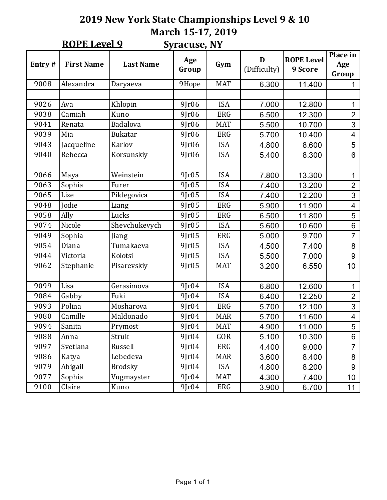## **2019 New York State Championships Level 9 & 10** March 15-17, 2019  $OPT <sub>1</sub>$

|        | <b>ROPE Level 9</b>  |                  | <b>Syracuse, NY</b> |            |                   |                              |                          |
|--------|----------------------|------------------|---------------------|------------|-------------------|------------------------------|--------------------------|
| Entry# | <b>First Name</b>    | <b>Last Name</b> | Age<br>Group        | Gym        | D<br>(Difficulty) | <b>ROPE Level</b><br>9 Score | Place in<br>Age<br>Group |
| 9008   | Alexandra            | Daryaeva         | 9Hope               | <b>MAT</b> | 6.300             | 11.400                       | 1                        |
|        |                      |                  |                     |            |                   |                              |                          |
| 9026   | Ava                  | Khlopin          | $9$ $r06$           | <b>ISA</b> | 7.000             | 12.800                       | 1                        |
| 9038   | Camiah               | Kuno             | 9Jr06               | <b>ERG</b> | 6.500             | 12.300                       | $\overline{2}$           |
| 9041   | Renata               | Badalova         | $9$ $r06$           | <b>MAT</b> | 5.500             | 10.700                       | $\overline{3}$           |
| 9039   | Mia                  | <b>Bukatar</b>   | $9$ $r06$           | <b>ERG</b> | 5.700             | 10.400                       | $\overline{\mathbf{4}}$  |
| 9043   | Jacqueline           | Karlov           | $9$ $r06$           | <b>ISA</b> | 4.800             | 8.600                        | 5                        |
| 9040   | Rebecca              | Korsunskiy       | $9$ $r06$           | <b>ISA</b> | 5.400             | 8.300                        | 6                        |
|        |                      |                  |                     |            |                   |                              |                          |
| 9066   | Maya                 | Weinstein        | $9$ $r05$           | <b>ISA</b> | 7.800             | 13.300                       | 1                        |
| 9063   | Sophia               | Furer            | 9Jr05               | <b>ISA</b> | 7.400             | 13.200                       | $\overline{2}$           |
| 9065   | Lize                 | Pildegovica      | 9Jr05               | <b>ISA</b> | 7.400             | 12.200                       | 3                        |
| 9048   | Jodie                | Liang            | $9$ $r05$           | <b>ERG</b> | 5.900             | 11.900                       | $\overline{\mathbf{4}}$  |
| 9058   | Ally                 | Lucks            | 9Jr05               | <b>ERG</b> | 6.500             | 11.800                       | $\overline{5}$           |
| 9074   | Nicole               | Shevchukevych    | 9Jr05               | <b>ISA</b> | 5.600             | 10.600                       | 6                        |
| 9049   | Sophia               | Jiang            | $9$ $r05$           | <b>ERG</b> | 5.000             | 9.700                        | $\overline{7}$           |
| 9054   | Diana                | Tumakaeva        | $9$ $r05$           | <b>ISA</b> | 4.500             | 7.400                        | 8                        |
| 9044   | Victoria             | Kolotsi          | 9[r05               | <b>ISA</b> | 5.500             | 7.000                        | 9                        |
| 9062   | Stephanie            | Pisarevskiy      | $9$ $r05$           | <b>MAT</b> | 3.200             | 6.550                        | 10                       |
|        |                      |                  |                     |            |                   |                              |                          |
| 9099   | Lisa                 | Gerasimova       | $9$ $r04$           | <b>ISA</b> | 6.800             | 12.600                       | 1                        |
| 9084   | Gabby                | Fuki             | $9$ $r04$           | <b>ISA</b> | 6.400             | 12.250                       | $\overline{2}$           |
| 9093   | Polina               | Mosharova        | 9Jr04               | <b>ERG</b> | 5.700             | 12.100                       | $\overline{3}$           |
| 9080   | Camille              | Maldonado        | 9Jr04               | <b>MAR</b> | 5.700             | 11.600                       | $\overline{\mathbf{4}}$  |
| 9094   | Sanita               | Prymost          | $9$ $r04$           | <b>MAT</b> | 4.900             | 11.000                       | 5                        |
| 9088   | Anna                 | Struk            | 9Jr04               | GOR        | 5.100             | 10.300                       | 6                        |
| 9097   | Svetlana             | Russell          | 9Jr04               | ERG        | 4.400             | 9.000                        | $\overline{7}$           |
| 9086   | Katya                | Lebedeva         | 9Jr04               | <b>MAR</b> | 3.600             | 8.400                        | 8                        |
| 9079   | Abigail              | <b>Brodsky</b>   | 9Jr04               | <b>ISA</b> | 4.800             | 8.200                        | 9                        |
| 9077   | Sophia<br>Vugmayster |                  | 9[r04]              | <b>MAT</b> | 4.300             | 7.400                        | 10 <sup>1</sup>          |
| 9100   | Claire               | Kuno             | 9Jr04               | <b>ERG</b> | 3.900             | 6.700                        | 11                       |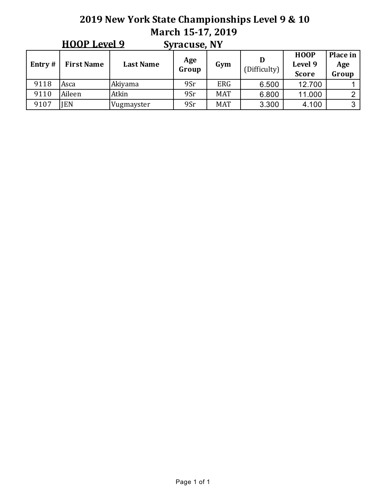## **2019 New York State Championships Level 9 & 10 March 15-17, 2019**  $HOMI$  and  $Q$

|           | <b>HOOP Level 9</b> |                  | <b>Syracuse, NY</b> |            |              |                                        |                          |
|-----------|---------------------|------------------|---------------------|------------|--------------|----------------------------------------|--------------------------|
| Entry $#$ | <b>First Name</b>   | <b>Last Name</b> | Age<br>Group        | Gym        | (Difficulty) | <b>HOOP</b><br>Level 9<br><b>Score</b> | Place in<br>Age<br>Group |
| 9118      | Asca                | Akiyama          | 9Sr                 | <b>ERG</b> | 6.500        | 12.700                                 |                          |
| 9110      | Aileen              | Atkin            | 9Sr                 | <b>MAT</b> | 6.800        | 11.000                                 | っ                        |
| 9107      | <b>IEN</b>          | Vugmayster       | 9Sr                 | <b>MAT</b> | 3.300        | 4.100                                  | 3                        |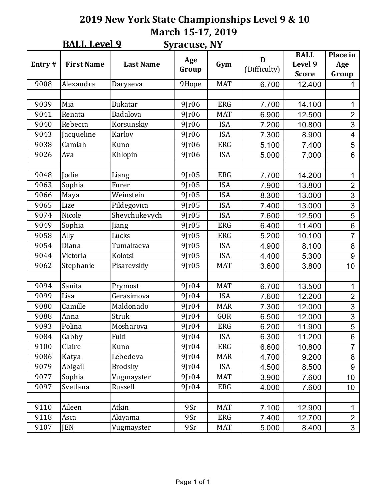## **2019 New York State Championships Level 9 & 10 March 15-17, 2019 BALL** 10

|        | <b>BALL Level 9</b> |                  | <b>Syracuse, NY</b> |            |                   |                                        |                          |
|--------|---------------------|------------------|---------------------|------------|-------------------|----------------------------------------|--------------------------|
| Entry# | <b>First Name</b>   | <b>Last Name</b> | Age<br>Group        | Gym        | D<br>(Difficulty) | <b>BALL</b><br>Level 9<br><b>Score</b> | Place in<br>Age<br>Group |
| 9008   | Alexandra           | Daryaeva         | 9Hope               | <b>MAT</b> | 6.700             | 12.400                                 | 1                        |
|        |                     |                  |                     |            |                   |                                        |                          |
| 9039   | Mia                 | <b>Bukatar</b>   | 9Jr06               | <b>ERG</b> | 7.700             | 14.100                                 | $\mathbf{1}$             |
| 9041   | Renata              | Badalova         | 9Jr06               | <b>MAT</b> | 6.900             | 12.500                                 | $\overline{2}$           |
| 9040   | Rebecca             | Korsunskiy       | 9Jr06               | <b>ISA</b> | 7.200             | 10.800                                 | $\overline{3}$           |
| 9043   | Jacqueline          | Karlov           | 9Jr06               | <b>ISA</b> | 7.300             | 8.900                                  | $\overline{\mathbf{4}}$  |
| 9038   | Camiah              | Kuno             | 9Jr06               | <b>ERG</b> | 5.100             | 7.400                                  | 5                        |
| 9026   | Ava                 | Khlopin          | $9$ $r06$           | <b>ISA</b> | 5.000             | 7.000                                  | 6                        |
|        |                     |                  |                     |            |                   |                                        |                          |
| 9048   | Jodie               | Liang            | 9Jr05               | <b>ERG</b> | 7.700             | 14.200                                 | $\mathbf 1$              |
| 9063   | Sophia              | Furer            | 9Jr05               | <b>ISA</b> | 7.900             | 13.800                                 | $\overline{2}$           |
| 9066   | Maya                | Weinstein        | 9Jr05               | <b>ISA</b> | 8.300             | 13.000                                 | 3                        |
| 9065   | Lize                | Pildegovica      | 9Jr05               | <b>ISA</b> | 7.400             | 13.000                                 | 3                        |
| 9074   | Nicole              | Shevchukevych    | 9Jr05               | <b>ISA</b> | 7.600             | 12.500                                 | $\overline{5}$           |
| 9049   | Sophia              | Jiang            | 9Jr05               | <b>ERG</b> | 6.400             | 11.400                                 | 6                        |
| 9058   | Ally                | Lucks            | 9Jr05               | <b>ERG</b> | 5.200             | 10.100                                 | $\overline{7}$           |
| 9054   | Diana               | Tumakaeva        | 9Jr05               | <b>ISA</b> | 4.900             | 8.100                                  | 8                        |
| 9044   | Victoria            | Kolotsi          | 9Jr05               | <b>ISA</b> | 4.400             | 5.300                                  | 9                        |
| 9062   | Stephanie           | Pisarevskiy      | 9Jr05               | <b>MAT</b> | 3.600             | 3.800                                  | 10                       |
|        |                     |                  |                     |            |                   |                                        |                          |
| 9094   | Sanita              | Prymost          | 9Jr04               | <b>MAT</b> | 6.700             | 13.500                                 | $\mathbf{1}$             |
| 9099   | Lisa                | Gerasimova       | $9$ $r04$           | <b>ISA</b> | 7.600             | 12.200                                 | $\overline{2}$           |
| 9080   | Camille             | Maldonado        | 9Jr04               | <b>MAR</b> | 7.300             | 12.000                                 | $\overline{3}$           |
| 9088   | Anna                | Struk            | 9Jr04               | GOR        | 6.500             | 12.000                                 | $\overline{3}$           |
| 9093   | Polina              | Mosharova        | 9Jr04               | <b>ERG</b> | 6.200             | 11.900                                 | 5                        |
| 9084   | Gabby               | Fuki             | 9Jr04               | <b>ISA</b> | 6.300             | 11.200                                 | 6                        |
| 9100   | Claire              | Kuno             | 9Jr04               | ERG        | 6.600             | 10.800                                 | $\overline{7}$           |
| 9086   | Katya               | Lebedeva         | 9Jr04               | <b>MAR</b> | 4.700             | 9.200                                  | 8                        |
| 9079   | Abigail             | <b>Brodsky</b>   | 9Jr04               | <b>ISA</b> | 4.500             | 8.500                                  | 9                        |
| 9077   | Sophia              | Vugmayster       | 9Jr04               | <b>MAT</b> | 3.900             | 7.600                                  | 10 <sup>1</sup>          |
| 9097   | Svetlana            | Russell          | 9Jr04               | <b>ERG</b> | 4.000             | 7.600                                  | 10 <sup>1</sup>          |
|        |                     |                  |                     |            |                   |                                        |                          |
| 9110   | Aileen              | Atkin            | 9Sr                 | <b>MAT</b> | 7.100             | 12.900                                 | $\mathbf 1$              |
| 9118   | Asca                | Akiyama          | 9Sr                 | ERG        | 7.400             | 12.700                                 | $\overline{2}$           |
| 9107   | JEN                 | Vugmayster       | 9Sr                 | <b>MAT</b> | 5.000             | 8.400                                  | $\overline{3}$           |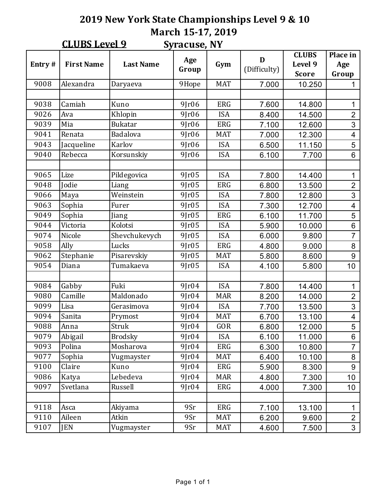## **2019 New York State Championships Level 9 & 10 March 15-17, 2019**  $C$ LUBC L<sub>200</sub> L<sub>0</sub>

|        | <b>CLUBS Level 9</b> |                  | <b>Syracuse, NY</b> |            |                   |                                         |                          |
|--------|----------------------|------------------|---------------------|------------|-------------------|-----------------------------------------|--------------------------|
| Entry# | <b>First Name</b>    | <b>Last Name</b> | Age<br>Group        | Gym        | D<br>(Difficulty) | <b>CLUBS</b><br>Level 9<br><b>Score</b> | Place in<br>Age<br>Group |
| 9008   | Alexandra            | Daryaeva         | 9Hope               | <b>MAT</b> | 7.000             | 10.250                                  | 1                        |
|        |                      |                  |                     |            |                   |                                         |                          |
| 9038   | Camiah               | Kuno             | $9$ $r06$           | <b>ERG</b> | 7.600             | 14.800                                  | 1                        |
| 9026   | Ava                  | Khlopin          | $9$ $r06$           | <b>ISA</b> | 8.400             | 14.500                                  | $\overline{2}$           |
| 9039   | Mia                  | <b>Bukatar</b>   | $9$ $r06$           | <b>ERG</b> | 7.100             | 12.600                                  | $\overline{3}$           |
| 9041   | Renata               | Badalova         | $9$ $r06$           | <b>MAT</b> | 7.000             | 12.300                                  | $\overline{\mathbf{4}}$  |
| 9043   | Jacqueline           | Karlov           | $9$ $r06$           | <b>ISA</b> | 6.500             | 11.150                                  | 5                        |
| 9040   | Rebecca              | Korsunskiy       | $9$ $r06$           | <b>ISA</b> | 6.100             | 7.700                                   | 6                        |
|        |                      |                  |                     |            |                   |                                         |                          |
| 9065   | Lize                 | Pildegovica      | 9Jr05               | <b>ISA</b> | 7.800             | 14.400                                  | 1                        |
| 9048   | Jodie                | Liang            | 9[r05               | <b>ERG</b> | 6.800             | 13.500                                  | $\overline{2}$           |
| 9066   | Maya                 | Weinstein        | $9$ $r05$           | <b>ISA</b> | 7.800             | 12.800                                  | 3                        |
| 9063   | Sophia               | Furer            | $9$ $r05$           | <b>ISA</b> | 7.300             | 12.700                                  | $\overline{\mathbf{4}}$  |
| 9049   | Sophia               | Jiang            | $9$ $r05$           | <b>ERG</b> | 6.100             | 11.700                                  | $\overline{5}$           |
| 9044   | Victoria             | Kolotsi          | 9Jr05               | <b>ISA</b> | 5.900             | 10.000                                  | 6                        |
| 9074   | Nicole               | Shevchukevych    | $9$ $r05$           | <b>ISA</b> | 6.000             | 9.800                                   | $\overline{7}$           |
| 9058   | Ally                 | Lucks            | $9$ $r05$           | <b>ERG</b> | 4.800             | 9.000                                   | 8                        |
| 9062   | Stephanie            | Pisarevskiy      | $9$ $r05$           | <b>MAT</b> | 5.800             | 8.600                                   | 9                        |
| 9054   | Diana                | Tumakaeva        | $9$ $r05$           | <b>ISA</b> | 4.100             | 5.800                                   | 10                       |
|        |                      |                  |                     |            |                   |                                         |                          |
| 9084   | Gabby                | Fuki             | $9$ $r04$           | <b>ISA</b> | 7.800             | 14.400                                  | 1                        |
| 9080   | Camille              | Maldonado        | $9$ $r04$           | <b>MAR</b> | 8.200             | 14.000                                  | $\overline{2}$           |
| 9099   | Lisa                 | Gerasimova       | 9Jr04               | <b>ISA</b> | 7.700             | 13.500                                  | $\overline{3}$           |
| 9094   | Sanita               | Prymost          | 9Jr04               | <b>MAT</b> | 6.700             | 13.100                                  | $\overline{\mathbf{4}}$  |
| 9088   | Anna                 | Struk            | $9$ $r04$           | GOR        | 6.800             | 12.000                                  | 5                        |
| 9079   | Abigail              | <b>Brodsky</b>   | 9Jr04               | <b>ISA</b> | 6.100             | 11.000                                  | 6                        |
| 9093   | Polina               | Mosharova        | 9[r04]              | ERG        | 6.300             | 10.800                                  | $\overline{7}$           |
| 9077   | Sophia               | Vugmayster       | 9Jr04               | <b>MAT</b> | 6.400             | 10.100                                  | 8                        |
| 9100   | Claire               | Kuno             | 9Jr04               | ERG        | 5.900             | 8.300                                   | 9                        |
| 9086   | Katya                | Lebedeva         | 9[r04]              | <b>MAR</b> | 4.800             | 7.300                                   | 10 <sup>1</sup>          |
| 9097   | Svetlana             | Russell          | 9Jr04               | ERG        | 4.000             | 7.300                                   | 10 <sup>1</sup>          |
|        |                      |                  |                     |            |                   |                                         |                          |
| 9118   | Asca                 | Akiyama          | 9Sr                 | ERG        | 7.100             | 13.100                                  | $\mathbf 1$              |
| 9110   | Aileen               | Atkin            | 9Sr                 | <b>MAT</b> | 6.200             | 9.600                                   | $\overline{2}$           |
| 9107   | JEN                  | Vugmayster       | 9Sr                 | <b>MAT</b> | 4.600             | 7.500                                   | $\overline{3}$           |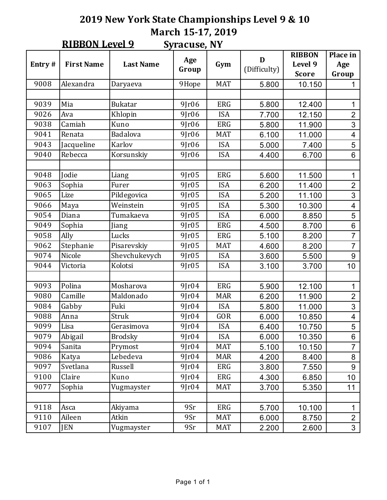#### **2019 New York State Championships Level 9 & 10 March 15-17, 2019 Syracuse, NY RIBBON Level 9**

|        | <u>KIDDON DEVEL 2</u> |                                     | Jylatujt, IVI |            |                   |                                          |                          |
|--------|-----------------------|-------------------------------------|---------------|------------|-------------------|------------------------------------------|--------------------------|
| Entry# | <b>First Name</b>     | <b>Last Name</b>                    | Age<br>Group  | Gym        | D<br>(Difficulty) | <b>RIBBON</b><br>Level 9<br><b>Score</b> | Place in<br>Age<br>Group |
| 9008   | Alexandra             | Daryaeva                            | 9Hope         | <b>MAT</b> | 5.800             | 10.150                                   | 1                        |
|        |                       |                                     |               |            |                   |                                          |                          |
| 9039   | Mia                   | <b>Bukatar</b>                      | $9$ $r06$     | <b>ERG</b> | 5.800             | 12.400                                   | 1                        |
| 9026   | Ava                   | Khlopin                             | $9$ $r06$     | <b>ISA</b> | 7.700             | 12.150                                   | $\overline{2}$           |
| 9038   | Camiah                | Kuno                                | $9$ $r06$     | <b>ERG</b> | 5.800             | 11.900                                   | $\overline{3}$           |
| 9041   | Renata                | Badalova                            | $9$ $r06$     | <b>MAT</b> | 6.100             | 11.000                                   | $\overline{4}$           |
| 9043   | Jacqueline            | Karlov                              | $9$ $r06$     | <b>ISA</b> | 5.000             | 7.400                                    | 5                        |
| 9040   | Rebecca               | Korsunskiy                          | $9$ $r06$     | <b>ISA</b> | 4.400             | 6.700                                    | 6                        |
|        |                       |                                     |               |            |                   |                                          |                          |
| 9048   | Jodie                 | Liang                               | 9[r05         | <b>ERG</b> | 5.600             | 11.500                                   | 1                        |
| 9063   | Sophia                | Furer                               | 9[r05         | <b>ISA</b> | 6.200             | 11.400                                   | $\overline{2}$           |
| 9065   | Lize                  | Pildegovica                         | 9[r05]        | <b>ISA</b> | 5.200             | 11.100                                   | $\overline{3}$           |
| 9066   | Maya                  | Weinstein                           | 9Jr05         | <b>ISA</b> | 5.300             | 10.300                                   | $\overline{\mathbf{4}}$  |
| 9054   | Diana                 | Tumakaeva                           | 9[r05         | <b>ISA</b> | 6.000             | 8.850                                    | $\overline{5}$           |
| 9049   | Sophia                | Jiang                               | 9[r05         | <b>ERG</b> | 4.500             | 8.700                                    | 6                        |
| 9058   | Ally                  | Lucks                               | 9[r05]        | <b>ERG</b> | 5.100             | 8.200                                    | $\overline{7}$           |
| 9062   | Stephanie             | Pisarevskiy                         | 9Jr05         | <b>MAT</b> | 4.600             | 8.200                                    | $\overline{7}$           |
| 9074   | Nicole                | Shevchukevych                       | 9[r05         | <b>ISA</b> | 3.600             | 5.500                                    | 9                        |
| 9044   | Victoria              | Kolotsi                             | $9$ $r05$     | <b>ISA</b> | 3.100             | 3.700                                    | 10                       |
|        |                       |                                     |               |            |                   |                                          |                          |
| 9093   | Polina                | Mosharova                           | 9[r04]        | <b>ERG</b> | 5.900             | 12.100                                   | 1                        |
| 9080   | Camille               | Maldonado                           | $9$ $r04$     | <b>MAR</b> | 6.200             | 11.900                                   | $\overline{2}$           |
| 9084   | Gabby                 | Fuki                                | $9$ $r04$     | <b>ISA</b> | 5.800             | 11.000                                   | $\overline{3}$           |
| 9088   | Anna                  | Struk                               | $9$ $r04$     | GOR        | 6.000             | 10.850                                   | $\overline{\mathbf{4}}$  |
| 9099   | Lisa                  | Gerasimova                          | 9[r04]        | <b>ISA</b> | 6.400             | 10.750                                   | 5                        |
| 9079   | Abigail               | <b>Brodsky</b>                      | 9Jr04         | <b>ISA</b> | 6.000             | 10.350                                   | 6                        |
| 9094   | Sanita                | Prymost                             | 9Jr04         | <b>MAT</b> | 5.100             | 10.150                                   | $\overline{7}$           |
| 9086   | Katya                 | Lebedeva                            | $9$ $r04$     | <b>MAR</b> | 4.200             | 8.400                                    | 8                        |
| 9097   | Svetlana              | Russell                             | 9Jr04         | ERG        | 3.800             | 7.550                                    | 9                        |
| 9100   | Claire                | Kuno                                | 9Jr04         | ERG        | 4.300             | 6.850                                    | 10 <sub>1</sub>          |
| 9077   | Sophia                | Vugmayster                          | $9$ $r04$     | MAT        | 3.700             | 5.350                                    | 11                       |
|        |                       |                                     |               |            |                   |                                          |                          |
| 9118   | Asca                  | 9Sr<br>ERG<br>Akiyama               |               | 5.700      | 10.100            | $\mathbf 1$                              |                          |
| 9110   | Aileen                | Atkin<br><b>MAT</b><br>9Sr<br>6.000 |               | 8.750      | $\overline{c}$    |                                          |                          |
| 9107   | <b>JEN</b>            | Vugmayster                          | 9Sr           | <b>MAT</b> | 2.200             | 2.600                                    | $\overline{3}$           |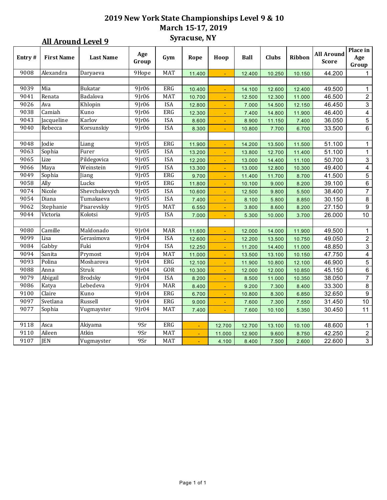### **2019 New York State Championships Level 9 & 10 March 15-17, 2019 Syracuse, NY**

|        | <b>All Around Level 9</b> |                  | Syracuse, NY |            |        |                |             |        |        |                                   |                          |
|--------|---------------------------|------------------|--------------|------------|--------|----------------|-------------|--------|--------|-----------------------------------|--------------------------|
| Entry# | <b>First Name</b>         | <b>Last Name</b> | Age<br>Group | Gym        | Rope   | Hoop           | <b>Ball</b> | Clubs  | Ribbon | <b>All Around</b><br><b>Score</b> | Place in<br>Age<br>Group |
| 9008   | Alexandra                 | Daryaeva         | 9Hope        | <b>MAT</b> | 11.400 |                | 12.400      | 10.250 | 10.150 | 44.200                            | $\mathbf{1}$             |
|        |                           |                  |              |            |        |                |             |        |        |                                   |                          |
| 9039   | Mia                       | Bukatar          | 9[r06]       | <b>ERG</b> | 10.400 | $\blacksquare$ | 14.100      | 12.600 | 12.400 | 49.500                            | $\mathbf{1}$             |
| 9041   | Renata                    | Badalova         | $9$ $r$ 06   | MAT        | 10.700 | ÷.             | 12.500      | 12.300 | 11.000 | 46.500                            | $\overline{2}$           |
| 9026   | Ava                       | Khlopin          | 9[r06]       | <b>ISA</b> | 12.800 | $\omega$       | 7.000       | 14.500 | 12.150 | 46.450                            | $\overline{3}$           |
| 9038   | Camiah                    | Kuno             | $9$ $r06$    | ERG        | 12.300 | $\blacksquare$ | 7.400       | 14.800 | 11.900 | 46.400                            | $\overline{4}$           |
| 9043   | Jacqueline                | Karlov           | 9Jr06        | <b>ISA</b> | 8.600  | $\blacksquare$ | 8.900       | 11.150 | 7.400  | 36.050                            | $\overline{5}$           |
| 9040   | Rebecca                   | Korsunskiy       | 9[r06]       | <b>ISA</b> | 8.300  | $\blacksquare$ | 10.800      | 7.700  | 6.700  | 33.500                            | $\overline{6}$           |
|        |                           |                  |              |            |        |                |             |        |        |                                   |                          |
| 9048   | Jodie                     | Liang            | 9Jr05        | ERG        | 11.900 |                | 14.200      | 13.500 | 11.500 | 51.100                            | 1                        |
| 9063   | Sophia                    | Furer            | 9[r05]       | <b>ISA</b> | 13.200 | ÷              | 13.800      | 12.700 | 11.400 | 51.100                            | $\mathbf{1}$             |
| 9065   | Lize                      | Pildegovica      | 9Jr05        | <b>ISA</b> | 12.200 |                | 13.000      | 14.400 | 11.100 | 50.700                            | $\mathsf 3$              |
| 9066   | Maya                      | Weinstein        | 9[r05]       | <b>ISA</b> | 13.300 |                | 13.000      | 12.800 | 10.300 | 49.400                            | $\overline{\mathbf{4}}$  |
| 9049   | Sophia                    | Jiang            | 9[r05]       | <b>ERG</b> | 9.700  | $\blacksquare$ | 11.400      | 11.700 | 8.700  | 41.500                            | $5\phantom{.0}$          |
| 9058   | Ally                      | Lucks            | 9[r05]       | ERG        | 11.800 | ÷.             | 10.100      | 9.000  | 8.200  | 39.100                            | $\,6\,$                  |
| 9074   | Nicole                    | Shevchukevych    | 9[r05]       | <b>ISA</b> | 10.600 | ÷.             | 12.500      | 9.800  | 5.500  | 38.400                            | $\overline{7}$           |
| 9054   | Diana                     | Tumakaeva        | 9[r05]       | <b>ISA</b> | 7.400  | $\blacksquare$ | 8.100       | 5.800  | 8.850  | 30.150                            | $\bf 8$                  |
| 9062   | Stephanie                 | Pisarevskiy      | 9Jr05        | <b>MAT</b> | 6.550  | $\blacksquare$ | 3.800       | 8.600  | 8.200  | 27.150                            | $\boldsymbol{9}$         |
| 9044   | Victoria                  | Kolotsi          | 9[r05]       | <b>ISA</b> | 7.000  | $\blacksquare$ | 5.300       | 10.000 | 3.700  | 26.000                            | 10                       |
|        |                           |                  |              |            |        |                |             |        |        |                                   |                          |
| 9080   | Camille                   | Maldonado        | 9Jr04        | <b>MAR</b> | 11.600 |                | 12.000      | 14.000 | 11.900 | 49.500                            | $\mathbf{1}$             |
| 9099   | Lisa                      | Gerasimova       | 9[r04]       | <b>ISA</b> | 12.600 | ÷.             | 12.200      | 13.500 | 10.750 | 49.050                            | $\sqrt{2}$               |
| 9084   | Gabby                     | Fuki             | 9[r04]       | <b>ISA</b> | 12.250 | $\blacksquare$ | 11.200      | 14.400 | 11.000 | 48.850                            | $\overline{3}$           |
| 9094   | Sanita                    | Prymost          | 9Jr04        | <b>MAT</b> | 11.000 | $\blacksquare$ | 13.500      | 13.100 | 10.150 | 47.750                            | $\overline{\mathbf{4}}$  |
| 9093   | Polina                    | Mosharova        | 9[r04]       | ERG        | 12.100 |                | 11.900      | 10.800 | 12.100 | 46.900                            | $\sqrt{5}$               |
| 9088   | Anna                      | Struk            | 9[r04]       | GOR        | 10.300 | ÷.             | 12.000      | 12.000 | 10.850 | 45.150                            | $\,6\,$                  |
| 9079   | Abigail                   | <b>Brodsky</b>   | 9Jr04        | <b>ISA</b> | 8.200  | ÷.             | 8.500       | 11.000 | 10.350 | 38.050                            | $\overline{7}$           |
| 9086   | Katya                     | Lebedeva         | $9$ $r04$    | <b>MAR</b> | 8.400  | ÷.             | 9.200       | 7.300  | 8.400  | 33.300                            | $\bf 8$                  |
| 9100   | Claire                    | Kuno             | $9$ $r04$    | <b>ERG</b> | 6.700  | $\blacksquare$ | 10.800      | 8.300  | 6.850  | 32.650                            | $\boldsymbol{9}$         |
| 9097   | Svetlana                  | Russell          | 9Jr04        | <b>ERG</b> | 9.000  | $\blacksquare$ | 7.600       | 7.300  | 7.550  | 31.450                            | 10                       |
| 9077   | Sophia                    | Vugmayster       | 9[r04]       | <b>MAT</b> | 7.400  | $\blacksquare$ | 7.600       | 10.100 | 5.350  | 30.450                            | 11                       |
|        |                           |                  |              |            |        |                |             |        |        |                                   |                          |
| 9118   | Asca                      | Akiyama          | 9Sr          | ERG        |        | 12.700         | 12.700      | 13.100 | 10.100 | 48.600                            | 1                        |
| 9110   | Aileen                    | Atkin            | 9Sr          | <b>MAT</b> | u,     | 11.000         | 12.900      | 9.600  | 8.750  | 42.250                            | $\overline{2}$           |
| 9107   | JEN                       | Vugmayster       | 9Sr          | <b>MAT</b> |        | 4.100          | 8.400       | 7.500  | 2.600  | 22.600                            | $\mathbf{3}$             |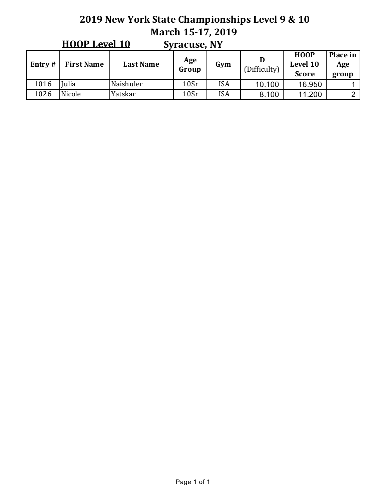#### **2019 New York State Championships Level 9 & 10 March 15-17, 2019 Syracuse, NY HOOP Level 10**

|           | <b>HUUL LEVEL TO</b><br>Syracuse, NY |                  |              |            |              |                                         |                          |  |  |  |
|-----------|--------------------------------------|------------------|--------------|------------|--------------|-----------------------------------------|--------------------------|--|--|--|
| Entry $#$ | <b>First Name</b>                    | <b>Last Name</b> | Age<br>Group | Gym        | (Difficulty) | <b>HOOP</b><br>Level 10<br><b>Score</b> | Place in<br>Age<br>group |  |  |  |
| 1016      | ulia                                 | Naishuler        | 10Sr         | <b>ISA</b> | 10.100       | 16.950                                  |                          |  |  |  |
| 1026      | Nicole                               | Yatskar          | 10Sr         | <b>ISA</b> | 8.100        | 11.200                                  | ⌒                        |  |  |  |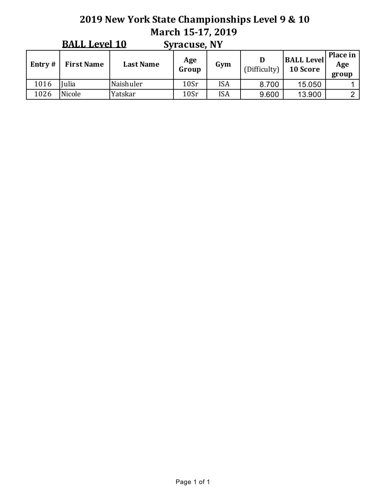# **2019 New York State Championships Level 9 & 10 March 15-17, 2019 BALL** Lovel  $10$

|           | <b>BALL Level 10</b> |                  | Syracuse, NY |            |              |                               |                          |
|-----------|----------------------|------------------|--------------|------------|--------------|-------------------------------|--------------------------|
| Entry $#$ | <b>First Name</b>    | <b>Last Name</b> | Age<br>Group | Gym        | (Difficulty) | <b>BALL Level</b><br>10 Score | Place in<br>Age<br>group |
| 1016      | ulia                 | Naishuler        | 10Sr         | <b>ISA</b> | 8.700        | 15.050                        |                          |
| 1026      | Nicole               | Yatskar          | 10Sr         | <b>ISA</b> | 9.600        | 13.900                        | റ                        |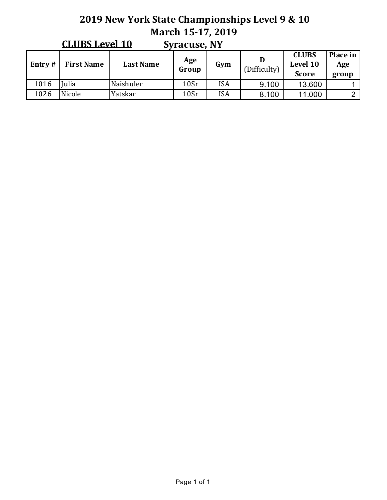#### **2019 New York State Championships Level 9 & 10 March 15-17, 2019 Syracuse, NY CLUBS Level 10**

|           | <u>CLUDJ LEVEL TV</u> |                  | JVIALUST, IVI |            |              |                                          |                          |
|-----------|-----------------------|------------------|---------------|------------|--------------|------------------------------------------|--------------------------|
| Entry $#$ | <b>First Name</b>     | <b>Last Name</b> | Age<br>Group  | Gym        | (Difficulty) | <b>CLUBS</b><br>Level 10<br><b>Score</b> | Place in<br>Age<br>group |
| 1016      | <b>ulia</b>           | Naishuler        | 10Sr          | <b>ISA</b> | 9.100        | 13.600                                   |                          |
| 1026      | Nicole                | Yatskar          | 10Sr          | <b>ISA</b> | 8.100        | 11.000                                   |                          |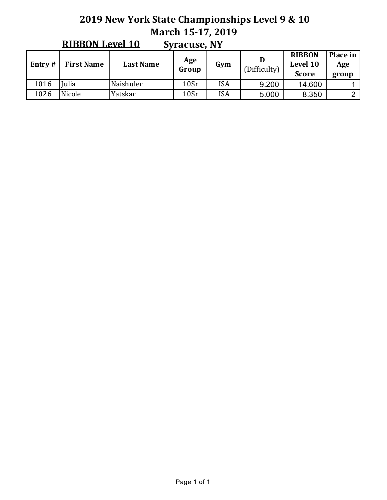# **2019 New York State Championships Level 9 & 10 March 15-17, 2019**

|           | $\cdots$<br><b>UVIULUJUI III</b> |                  |              |            |              |                                           |                          |  |  |  |  |
|-----------|----------------------------------|------------------|--------------|------------|--------------|-------------------------------------------|--------------------------|--|--|--|--|
| Entry $#$ | <b>First Name</b>                | <b>Last Name</b> | Age<br>Group | Gym        | (Difficulty) | <b>RIBBON</b><br>Level 10<br><b>Score</b> | Place in<br>Age<br>group |  |  |  |  |
| 1016      | Iulia                            | Naishuler        | 10Sr         | <b>ISA</b> | 9.200        | 14.600                                    |                          |  |  |  |  |
| 1026      | Nicole                           | Yatskar          | 10Sr         | <b>ISA</b> | 5.000        | 8.350                                     |                          |  |  |  |  |

**Syracuse, NV RIBBON** Level 10